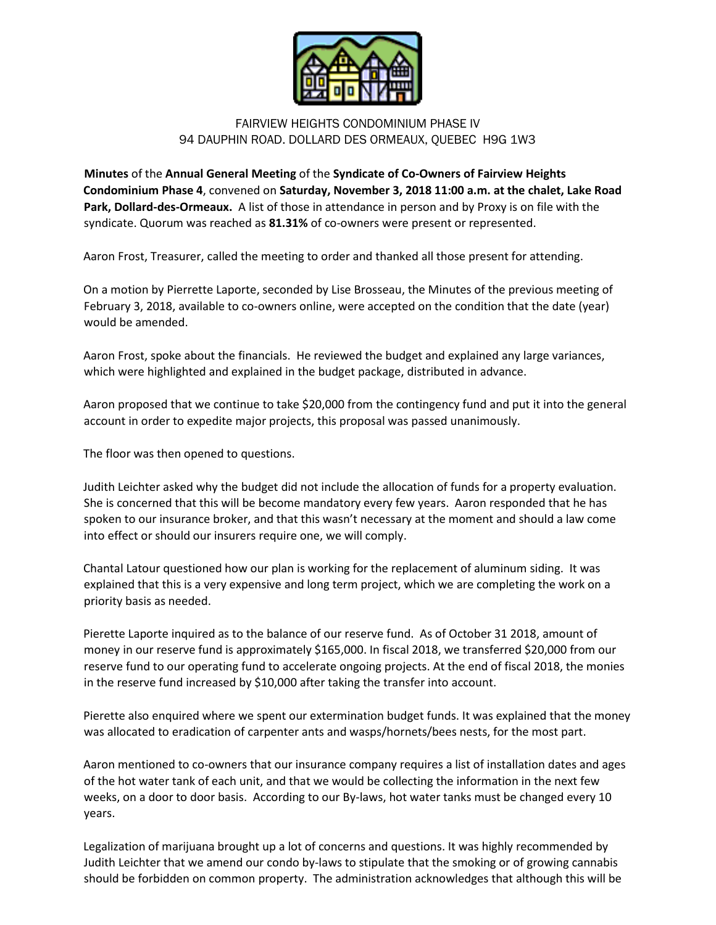

## FAIRVIEW HEIGHTS CONDOMINIUM PHASE IV 94 DAUPHIN ROAD. DOLLARD DES ORMEAUX, QUEBEC H9G 1W3

**Minutes** of the **Annual General Meeting** of the **Syndicate of Co-Owners of Fairview Heights Condominium Phase 4**, convened on **Saturday, November 3, 2018 11:00 a.m. at the chalet, Lake Road Park, Dollard-des-Ormeaux.** A list of those in attendance in person and by Proxy is on file with the syndicate. Quorum was reached as **81.31%** of co-owners were present or represented.

Aaron Frost, Treasurer, called the meeting to order and thanked all those present for attending.

On a motion by Pierrette Laporte, seconded by Lise Brosseau, the Minutes of the previous meeting of February 3, 2018, available to co-owners online, were accepted on the condition that the date (year) would be amended.

Aaron Frost, spoke about the financials. He reviewed the budget and explained any large variances, which were highlighted and explained in the budget package, distributed in advance.

Aaron proposed that we continue to take \$20,000 from the contingency fund and put it into the general account in order to expedite major projects, this proposal was passed unanimously.

The floor was then opened to questions.

Judith Leichter asked why the budget did not include the allocation of funds for a property evaluation. She is concerned that this will be become mandatory every few years. Aaron responded that he has spoken to our insurance broker, and that this wasn't necessary at the moment and should a law come into effect or should our insurers require one, we will comply.

Chantal Latour questioned how our plan is working for the replacement of aluminum siding. It was explained that this is a very expensive and long term project, which we are completing the work on a priority basis as needed.

Pierette Laporte inquired as to the balance of our reserve fund. As of October 31 2018, amount of money in our reserve fund is approximately \$165,000. In fiscal 2018, we transferred \$20,000 from our reserve fund to our operating fund to accelerate ongoing projects. At the end of fiscal 2018, the monies in the reserve fund increased by \$10,000 after taking the transfer into account.

Pierette also enquired where we spent our extermination budget funds. It was explained that the money was allocated to eradication of carpenter ants and wasps/hornets/bees nests, for the most part.

Aaron mentioned to co-owners that our insurance company requires a list of installation dates and ages of the hot water tank of each unit, and that we would be collecting the information in the next few weeks, on a door to door basis. According to our By-laws, hot water tanks must be changed every 10 years.

Legalization of marijuana brought up a lot of concerns and questions. It was highly recommended by Judith Leichter that we amend our condo by-laws to stipulate that the smoking or of growing cannabis should be forbidden on common property. The administration acknowledges that although this will be